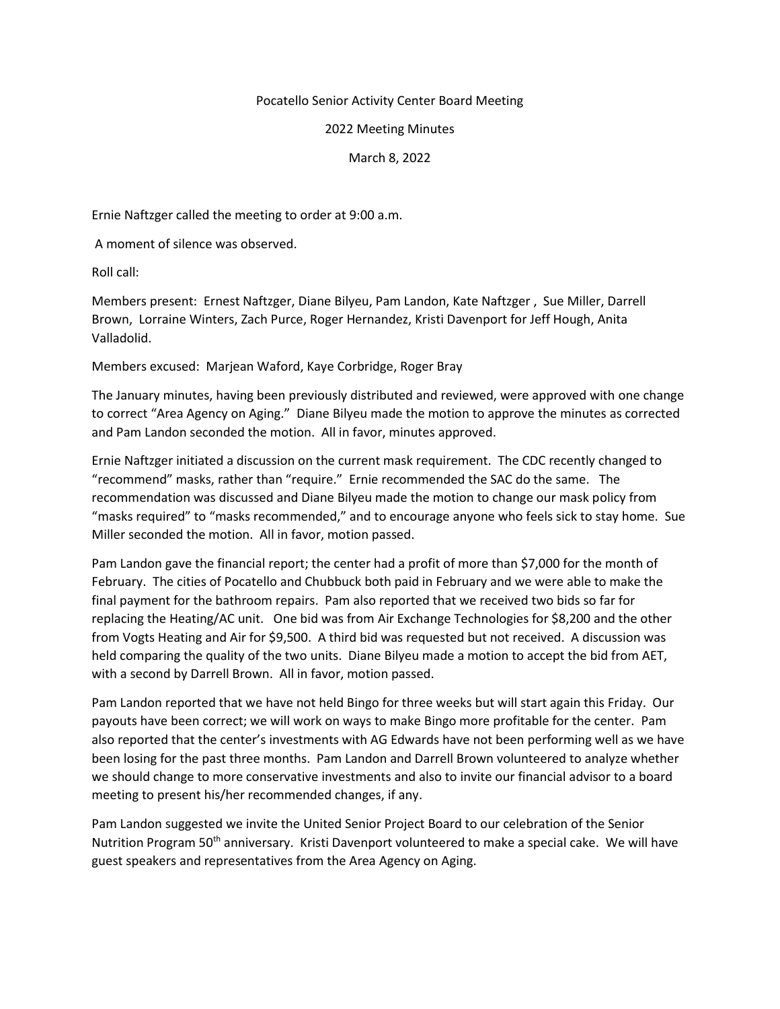## Pocatello Senior Activity Center Board Meeting

## 2022 Meeting Minutes

## March 8, 2022

Ernie Naftzger called the meeting to order at 9:00 a.m.

A moment of silence was observed.

Roll call:

Members present: Ernest Naftzger, Diane Bilyeu, Pam Landon, Kate Naftzger , Sue Miller, Darrell Brown, Lorraine Winters, Zach Purce, Roger Hernandez, Kristi Davenport for Jeff Hough, Anita Valladolid.

Members excused: Marjean Waford, Kaye Corbridge, Roger Bray

The January minutes, having been previously distributed and reviewed, were approved with one change to correct "Area Agency on Aging." Diane Bilyeu made the motion to approve the minutes as corrected and Pam Landon seconded the motion. All in favor, minutes approved.

Ernie Naftzger initiated a discussion on the current mask requirement. The CDC recently changed to "recommend" masks, rather than "require." Ernie recommended the SAC do the same. The recommendation was discussed and Diane Bilyeu made the motion to change our mask policy from "masks required" to "masks recommended," and to encourage anyone who feels sick to stay home. Sue Miller seconded the motion. All in favor, motion passed.

Pam Landon gave the financial report; the center had a profit of more than \$7,000 for the month of February. The cities of Pocatello and Chubbuck both paid in February and we were able to make the final payment for the bathroom repairs. Pam also reported that we received two bids so far for replacing the Heating/AC unit. One bid was from Air Exchange Technologies for \$8,200 and the other from Vogts Heating and Air for \$9,500. A third bid was requested but not received. A discussion was held comparing the quality of the two units. Diane Bilyeu made a motion to accept the bid from AET, with a second by Darrell Brown. All in favor, motion passed.

Pam Landon reported that we have not held Bingo for three weeks but will start again this Friday. Our payouts have been correct; we will work on ways to make Bingo more profitable for the center. Pam also reported that the center's investments with AG Edwards have not been performing well as we have been losing for the past three months. Pam Landon and Darrell Brown volunteered to analyze whether we should change to more conservative investments and also to invite our financial advisor to a board meeting to present his/her recommended changes, if any.

Pam Landon suggested we invite the United Senior Project Board to our celebration of the Senior Nutrition Program 50<sup>th</sup> anniversary. Kristi Davenport volunteered to make a special cake. We will have guest speakers and representatives from the Area Agency on Aging.